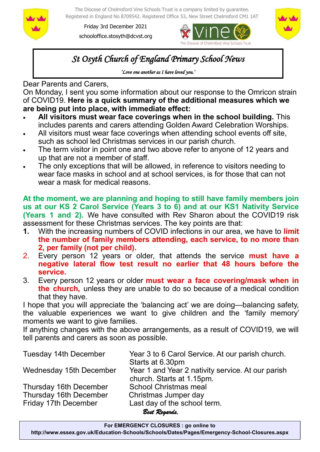

The Diocese of Chelmsford Vine Schools Trust is a company limited by guarantee. Registered in England No 8709542. Registered Office 53, New Street Chelmsford CM1 1AT

Friday 3rd December 2021 schooloffice.stosyth@dcvst.org





# *St Osyth Church of England Primary School News*

*'Love one another as I have loved you.'* 

Dear Parents and Carers,

On Monday, I sent you some information about our response to the Omricon strain of COVID19. **Here is a quick summary of the additional measures which we are being put into place, with immediate effect:**

- **All visitors must wear face coverings when in the school building.** This includes parents and carers attending Golden Award Celebration Worships.
- All visitors must wear face coverings when attending school events off site, such as school led Christmas services in our parish church.
- The term visitor in point one and two above refer to anyone of 12 years and up that are not a member of staff.
- The only exceptions that will be allowed, in reference to visitors needing to wear face masks in school and at school services, is for those that can not wear a mask for medical reasons.

**At the moment, we are planning and hoping to still have family members join us at our KS 2 Carol Service (Years 3 to 6) and at our KS1 Nativity Service (Years 1 and 2).** We have consulted with Rev Sharon about the COVID19 risk assessment for these Christmas services. The key points are that:

- **1.** With the increasing numbers of COVID infections in our area, we have to **limit the number of family members attending, each service, to no more than 2, per family (not per child).**
- 2. Every person 12 years or older, that attends the service **must have a negative lateral flow test result no earlier that 48 hours before the service.**
- 3. Every person 12 years or older **must wear a face covering/mask when in the church,** unless they are unable to do so because of a medical condition that they have.

I hope that you will appreciate the 'balancing act' we are doing—balancing safety, the valuable experiences we want to give children and the 'family memory' moments we want to give families.

If anything changes with the above arrangements, as a result of COVID19, we will tell parents and carers as soon as possible.

| <b>Tuesday 14th December</b> | Year 3 to 6 Carol Service. At our parish church.  |
|------------------------------|---------------------------------------------------|
|                              | Starts at 6.30pm                                  |
| Wednesday 15th December      | Year 1 and Year 2 nativity service. At our parish |
|                              | church. Starts at 1.15pm.                         |
| Thursday 16th December       | <b>School Christmas meal</b>                      |
| Thursday 16th December       | Christmas Jumper day                              |
| Friday 17th December         | Last day of the school term.                      |
|                              | Rost Dogands                                      |

*Best Regards,*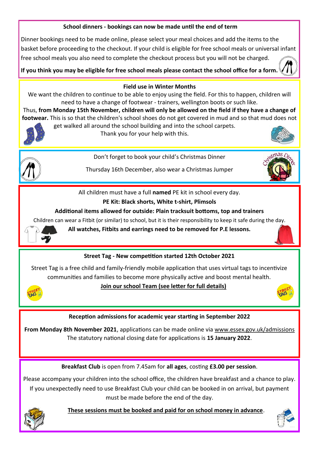# **School dinners - bookings can now be made until the end of term**

Dinner bookings need to be made online, please select your meal choices and add the items to the basket before proceeding to the checkout. If your child is eligible for free school meals or universal infant free school meals you also need to complete the checkout process but you will not be charged.

**If you think you may be eligible for free school meals please contact the school office for a form.** 



#### **Field use in Winter Months**

We want the children to continue to be able to enjoy using the field. For this to happen, children will need to have a change of footwear - trainers, wellington boots or such like.

Thus, **from Monday 15th November, children will only be allowed on the field if they have a change of footwear.** This is so that the children's school shoes do not get covered in mud and so that mud does not get walked all around the school building and into the school carpets.



Thank you for your help with this.





Don't forget to book your child's Christmas Dinner

Thursday 16th December, also wear a Christmas Jumper



All children must have a full **named** PE kit in school every day.

# **PE Kit: Black shorts, White t-shirt, Plimsols**

#### **Additional items allowed for outside: Plain tracksuit bottoms, top and trainers**

Children can wear a Fitbit (or similar) to school, but it is their responsibility to keep it safe during the day.



**All watches, Fitbits and earrings need to be removed for P.E lessons.**

# **Street Tag - New competition started 12th October 2021**

Street Tag is a free child and family-friendly mobile application that uses virtual tags to incentivize communities and families to become more physically active and boost mental health.



### **Join our school Team (see letter for full details)**



### **Reception admissions for academic year starting in September 2022**

**From Monday 8th November 2021**, applications can be made online via [www.essex.gov.uk/admissions](https://gbr01.safelinks.protection.outlook.com/?url=http%3A%2F%2Fwww.essex.gov.uk%2Fadmissions&data=04%7C01%7Cschooloffice.stosyth%40dcvst.org%7Cd9dfd22d78a64e7d492d08d9a046cdd1%7C282c78034b8f4fbda3841682df47e3ad%7C1%7C0%7C637717048224412247%7CUnknown%7CTWFpb)  The statutory national closing date for applications is **15 January 2022**.

**Breakfast Club** is open from 7.45am for **all ages**, costing **£3.00 per session**.

Please accompany your children into the school office, the children have breakfast and a chance to play. If you unexpectedly need to use Breakfast Club your child can be booked in on arrival, but payment must be made before the end of the day.



 **These sessions must be booked and paid for on school money in advance**.